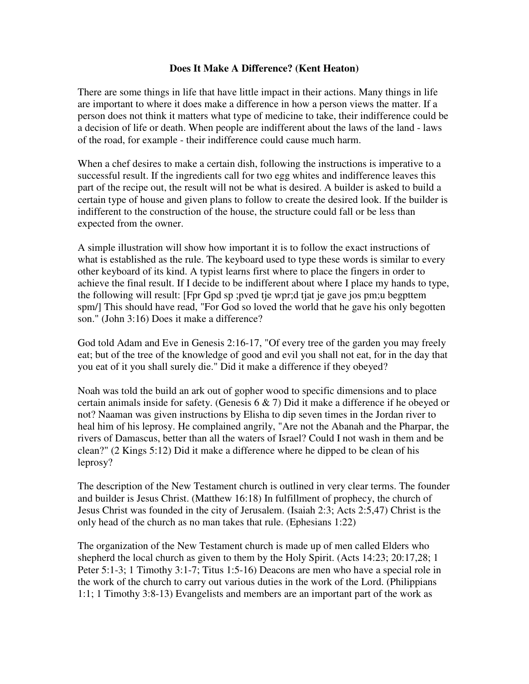## **Does It Make A Difference? (Kent Heaton)**

There are some things in life that have little impact in their actions. Many things in life are important to where it does make a difference in how a person views the matter. If a person does not think it matters what type of medicine to take, their indifference could be a decision of life or death. When people are indifferent about the laws of the land - laws of the road, for example - their indifference could cause much harm.

When a chef desires to make a certain dish, following the instructions is imperative to a successful result. If the ingredients call for two egg whites and indifference leaves this part of the recipe out, the result will not be what is desired. A builder is asked to build a certain type of house and given plans to follow to create the desired look. If the builder is indifferent to the construction of the house, the structure could fall or be less than expected from the owner.

A simple illustration will show how important it is to follow the exact instructions of what is established as the rule. The keyboard used to type these words is similar to every other keyboard of its kind. A typist learns first where to place the fingers in order to achieve the final result. If I decide to be indifferent about where I place my hands to type, the following will result: [Fpr Gpd sp ;pved tje wpr;d tjat je gave jos pm;u begpttem spm/] This should have read, "For God so loved the world that he gave his only begotten son." (John 3:16) Does it make a difference?

God told Adam and Eve in Genesis 2:16-17, "Of every tree of the garden you may freely eat; but of the tree of the knowledge of good and evil you shall not eat, for in the day that you eat of it you shall surely die." Did it make a difference if they obeyed?

Noah was told the build an ark out of gopher wood to specific dimensions and to place certain animals inside for safety. (Genesis  $6 \& 7$ ) Did it make a difference if he obeyed or not? Naaman was given instructions by Elisha to dip seven times in the Jordan river to heal him of his leprosy. He complained angrily, "Are not the Abanah and the Pharpar, the rivers of Damascus, better than all the waters of Israel? Could I not wash in them and be clean?" (2 Kings 5:12) Did it make a difference where he dipped to be clean of his leprosy?

The description of the New Testament church is outlined in very clear terms. The founder and builder is Jesus Christ. (Matthew 16:18) In fulfillment of prophecy, the church of Jesus Christ was founded in the city of Jerusalem. (Isaiah 2:3; Acts 2:5,47) Christ is the only head of the church as no man takes that rule. (Ephesians 1:22)

The organization of the New Testament church is made up of men called Elders who shepherd the local church as given to them by the Holy Spirit. (Acts 14:23; 20:17,28; 1 Peter 5:1-3; 1 Timothy 3:1-7; Titus 1:5-16) Deacons are men who have a special role in the work of the church to carry out various duties in the work of the Lord. (Philippians 1:1; 1 Timothy 3:8-13) Evangelists and members are an important part of the work as